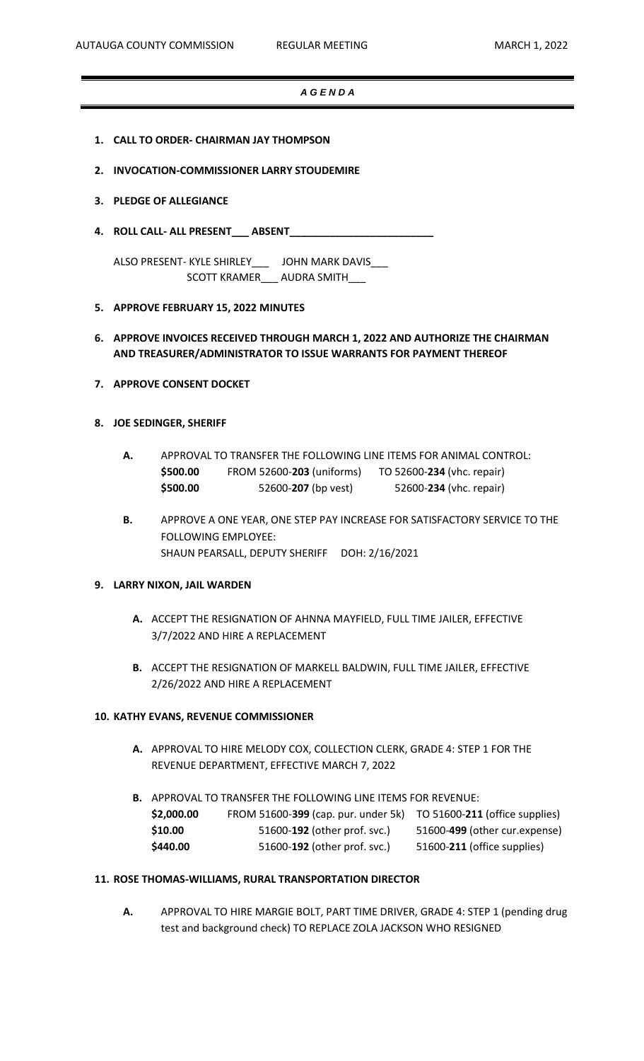# *A G E N D A*

- **1. CALL TO ORDER- CHAIRMAN JAY THOMPSON**
- **2. INVOCATION-COMMISSIONER LARRY STOUDEMIRE**
- **3. PLEDGE OF ALLEGIANCE**
- **4. ROLL CALL- ALL PRESENT\_\_\_ ABSENT\_\_\_\_\_\_\_\_\_\_\_\_\_\_\_\_\_\_\_\_\_\_\_\_\_**

ALSO PRESENT- KYLE SHIRLEY\_\_\_ JOHN MARK DAVIS\_\_\_ SCOTT KRAMER\_\_\_ AUDRA SMITH\_\_\_

- **5. APPROVE FEBRUARY 15, 2022 MINUTES**
- **6. APPROVE INVOICES RECEIVED THROUGH MARCH 1, 2022 AND AUTHORIZE THE CHAIRMAN AND TREASURER/ADMINISTRATOR TO ISSUE WARRANTS FOR PAYMENT THEREOF**
- **7. APPROVE CONSENT DOCKET**

## **8. JOE SEDINGER, SHERIFF**

- **A.** APPROVAL TO TRANSFER THE FOLLOWING LINE ITEMS FOR ANIMAL CONTROL: **\$500.00** FROM 52600-**203** (uniforms) TO 52600-**234** (vhc. repair) **\$500.00** 52600-**207** (bp vest) 52600-**234** (vhc. repair)
- **B.** APPROVE A ONE YEAR, ONE STEP PAY INCREASE FOR SATISFACTORY SERVICE TO THE FOLLOWING EMPLOYEE: SHAUN PEARSALL, DEPUTY SHERIFF DOH: 2/16/2021

## **9. LARRY NIXON, JAIL WARDEN**

- **A.** ACCEPT THE RESIGNATION OF AHNNA MAYFIELD, FULL TIME JAILER, EFFECTIVE 3/7/2022 AND HIRE A REPLACEMENT
- **B.** ACCEPT THE RESIGNATION OF MARKELL BALDWIN, FULL TIME JAILER, EFFECTIVE 2/26/2022 AND HIRE A REPLACEMENT

#### **10. KATHY EVANS, REVENUE COMMISSIONER**

**A.** APPROVAL TO HIRE MELODY COX, COLLECTION CLERK, GRADE 4: STEP 1 FOR THE REVENUE DEPARTMENT, EFFECTIVE MARCH 7, 2022

**B.** APPROVAL TO TRANSFER THE FOLLOWING LINE ITEMS FOR REVENUE: **\$2,000.00** FROM 51600-**399** (cap. pur. under 5k) TO 51600-**211** (office supplies) **\$10.00** 51600-**192** (other prof. svc.) 51600-**499** (other cur.expense) **\$440.00** 51600-**192** (other prof. svc.) 51600-**211** (office supplies)

# **11. ROSE THOMAS-WILLIAMS, RURAL TRANSPORTATION DIRECTOR**

**A.** APPROVAL TO HIRE MARGIE BOLT, PART TIME DRIVER, GRADE 4: STEP 1 (pending drug test and background check) TO REPLACE ZOLA JACKSON WHO RESIGNED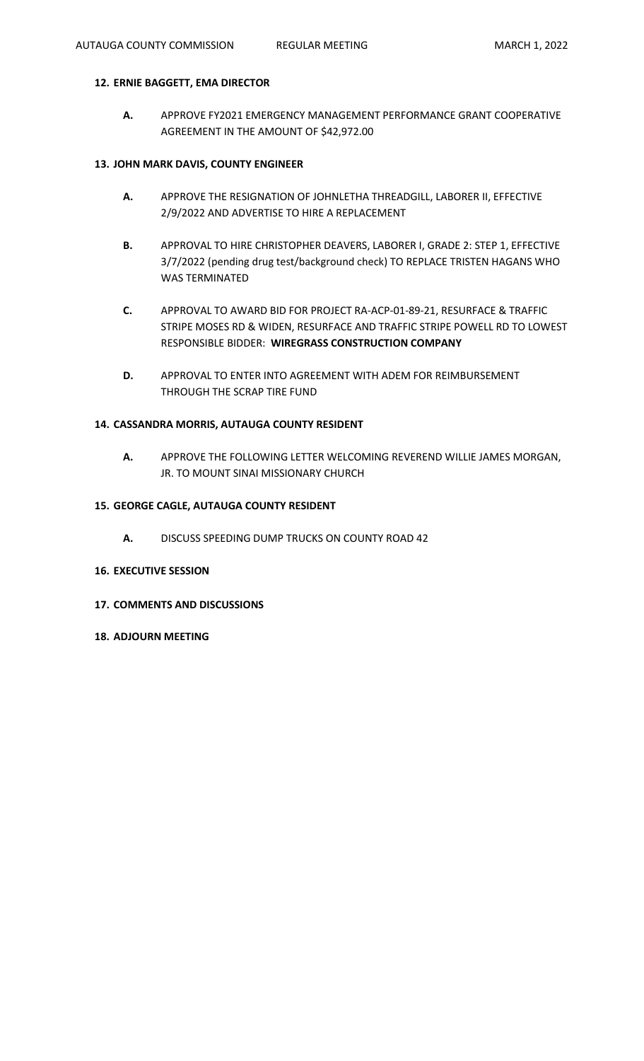# **12. ERNIE BAGGETT, EMA DIRECTOR**

**A.** APPROVE FY2021 EMERGENCY MANAGEMENT PERFORMANCE GRANT COOPERATIVE AGREEMENT IN THE AMOUNT OF \$42,972.00

#### **13. JOHN MARK DAVIS, COUNTY ENGINEER**

- **A.** APPROVE THE RESIGNATION OF JOHNLETHA THREADGILL, LABORER II, EFFECTIVE 2/9/2022 AND ADVERTISE TO HIRE A REPLACEMENT
- **B.** APPROVAL TO HIRE CHRISTOPHER DEAVERS, LABORER I, GRADE 2: STEP 1, EFFECTIVE 3/7/2022 (pending drug test/background check) TO REPLACE TRISTEN HAGANS WHO WAS TERMINATED
- **C.** APPROVAL TO AWARD BID FOR PROJECT RA-ACP-01-89-21, RESURFACE & TRAFFIC STRIPE MOSES RD & WIDEN, RESURFACE AND TRAFFIC STRIPE POWELL RD TO LOWEST RESPONSIBLE BIDDER: **WIREGRASS CONSTRUCTION COMPANY**
- **D.** APPROVAL TO ENTER INTO AGREEMENT WITH ADEM FOR REIMBURSEMENT THROUGH THE SCRAP TIRE FUND

## **14. CASSANDRA MORRIS, AUTAUGA COUNTY RESIDENT**

**A.** APPROVE THE FOLLOWING LETTER WELCOMING REVEREND WILLIE JAMES MORGAN, JR. TO MOUNT SINAI MISSIONARY CHURCH

## **15. GEORGE CAGLE, AUTAUGA COUNTY RESIDENT**

- **A.** DISCUSS SPEEDING DUMP TRUCKS ON COUNTY ROAD 42
- **16. EXECUTIVE SESSION**
- **17. COMMENTS AND DISCUSSIONS**
- **18. ADJOURN MEETING**